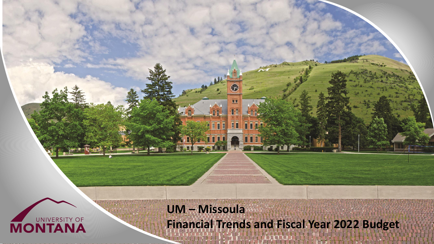

**UM – Missoula Financial Trends and Fiscal Year 2022 Budget**

ATH I LITTLE ANN BETTER THAT

π

**En** 

YITT

**AFTEL** 

**Az TITLE**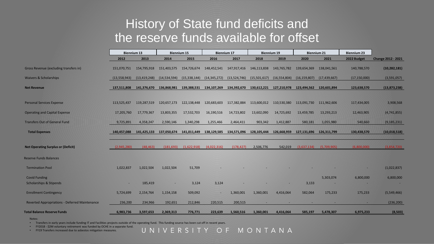#### History of State fund deficits and the reserve funds available for offset

|                                                       | <b>Biennium 13</b> |                | <b>Biennium 15</b> |                                       | <b>Biennium 17</b>       |              | <b>Biennium 19</b>      |                         | <b>Biennium 21</b> |                         | <b>Biennium 23</b> |                           |
|-------------------------------------------------------|--------------------|----------------|--------------------|---------------------------------------|--------------------------|--------------|-------------------------|-------------------------|--------------------|-------------------------|--------------------|---------------------------|
|                                                       | 2012               | 2013           | 2014               | 2015                                  | 2016                     | 2017         | 2018                    | 2019                    | 2020               | 2021                    | 2022 Budget        | <b>Change 2012 - 2021</b> |
| Gross Revenue (excluding transfers in)                | 151,070,751        | 154,795,918    | 151,403,575        | 154,726,674                           | 148,452,541              | 147,917,416  | 146,113,838             | 143,765,782             | 139,654,369        | 138,041,561             | 140,788,570        | (10, 282, 181)            |
| <b>Waivers &amp; Scholarships</b>                     | (13, 558, 943)     | (13, 419, 248) | (14, 534, 594)     | (15, 338, 144)                        | (14, 345, 272)           | (13,524,746) | (15,501,617)            | (16, 554, 804)          | (16, 159, 807)     | (17, 439, 667)          | (17, 150, 000)     | (3,591,057)               |
| <b>Net Revenue</b>                                    | 137,511,808        | 141,376,670    |                    | 136,868,981  139,388,531  134,107,269 |                          | 134,392,670  |                         | 130,612,221 127,210,978 | 123,494,562        | 120,601,894             | 123,638,570        | (13,873,238)              |
| <b>Personal Services Expense</b>                      | 113,525,437        | 119,287,519    | 120,657,173        | 122,138,448                           | 120,683,603              | 117,382,884  | 113,600,012 110,530,380 |                         |                    | 113,091,730 111,962,606 | 117,434,005        | 3,908,568                 |
| <b>Operating and Capital Expense</b>                  | 17,205,760         | 17,779,367     | 13,803,355         | 17,532,703                            | 16,190,516               | 14,723,802   | 13,602,090              | 14,725,692              | 13,459,785         | 13,293,213              | 12,463,905         | (4,741,855)               |
| <b>Transfers Out of General Fund</b>                  | 9,725,891          | 4,358,247      | 2,590,146          | 1,340,298                             | 1,255,466                | 2,464,411    | 903,342                 | 1,412,887               | 580,181            | 1,055,980               | 540,660            | (9, 185, 231)             |
| <b>Total Expenses</b>                                 | 140,457,088        | 141,425,133    | 137,050,674        | 141,011,449                           | 138,129,585              | 134,571,096  | 128,105,444             | 126,668,959             | 127,131,696        | 126,311,799             | 130,438,570        | (10, 018, 518)            |
|                                                       |                    |                |                    |                                       |                          |              |                         |                         |                    |                         |                    |                           |
| <b>Net Operating Surplus or (Deficit)</b>             | (2,945,280)        | (48, 463)      | (181, 693)         | (1,622,918)                           | (4,022,316)              | (178, 427)   | 2,506,776               | 542,019                 | (3,637,134)        | (5,709,905)             | (6.800.000)        | (3,854,720)               |
| <b>Reserve Funds Balances</b>                         |                    |                |                    |                                       |                          |              |                         |                         |                    |                         |                    |                           |
| <b>Termination Pool</b>                               | 1,022,837          | 1,022,504      | 1,022,504          | 51,709                                |                          |              |                         |                         |                    |                         |                    | (1,022,837)               |
| <b>Covid Funding</b>                                  |                    |                |                    |                                       |                          |              |                         |                         |                    | 5,303,074               | 6,800,000          | 6,800,000                 |
| <b>Scholarships &amp; Stipends</b>                    |                    | 185,419        |                    | 3,124                                 | 3,124                    |              |                         |                         | 3,133              |                         |                    |                           |
| <b>Enrollment Contingency</b>                         | 5,724,699          | 2,154,764      | 1,154,158          | 509,092                               | $\overline{\phantom{a}}$ | 1,360,001    | 1,360,001               | 4,416,064               | 582,064            | 175,233                 | 175,233            | (5,549,466)               |
| <b>Reverted Appropriations - Deferred Maintenance</b> | 236,200            | 234,966        | 192,651            | 212,846                               | 220,515                  | 200,515      |                         |                         |                    |                         |                    | (236, 200)                |
| <b>Total Balance Reserve Funds</b>                    | 6,983,736          | 3,597,653      | 2,369,313          | 776,771                               | 223,639                  | 1,560,516    | 1,360,001               | 4,416,064               | 585,197            | 5,478,307               | 6,975,233          | (8,503)                   |

Notes:

• Transfers in early years include funding IT and Facilities projects outside of the operating fund. This funding source has been cut off in recent years.

• FY2018 - \$2M voluntary retirement was funded by OCHE in a separate fund. • FY19 Transfers increased due to asbestos mitigation measures.

UNIVERSITY OF MONTANA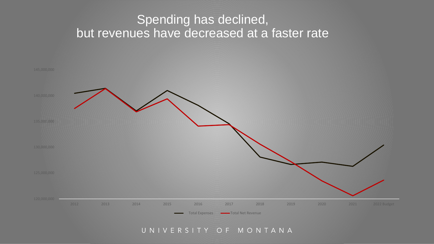#### Spending has declined, but revenues have decreased at a faster rate



#### UNIVERSITY OF MONTANA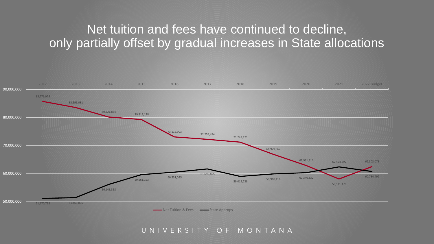#### Net tuition and fees have continued to decline, only partially offset by gradual increases in State allocations



UNIVERSITY OF MONTANA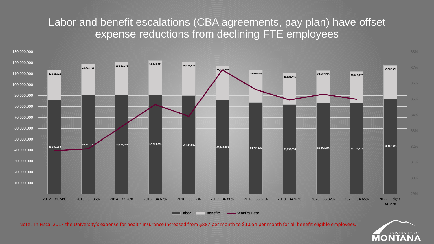#### Labor and benefit escalations (CBA agreements, pay plan) have offset expense reductions from declining FTE employees



Note: In Fiscal 2017 the University's expense for health insurance increased from \$887 per month to \$1,054 per month for all benefit eligible employees.

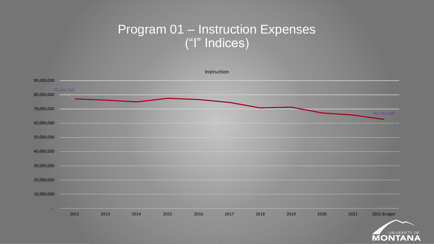#### Program 01 – Instruction Expenses ("I" Indices)



UNIVERSITY ONTA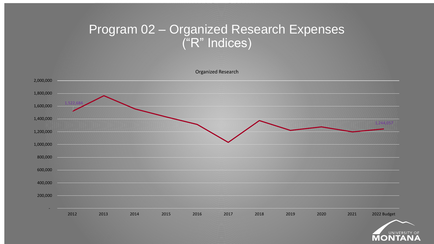#### Program 02 – Organized Research Expenses ("R" Indices)



UNIVERSITY ONTA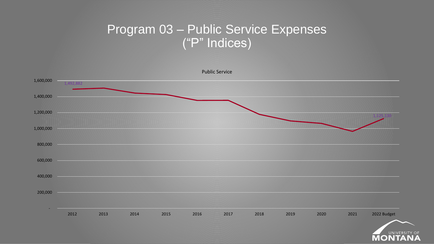#### Program 03 – Public Service Expenses ("P" Indices)

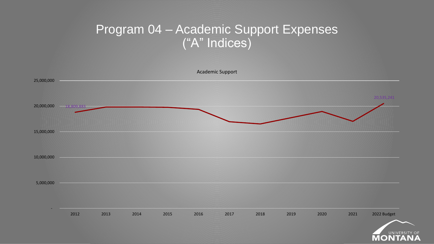#### Program 04 – Academic Support Expenses ("A" Indices)

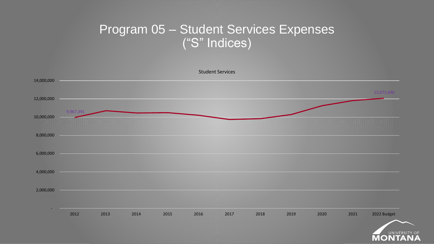### Program 05 – Student Services Expenses ("S" Indices)



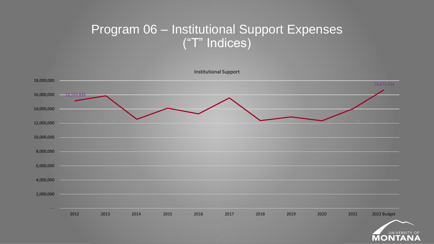### Program 06 – Institutional Support Expenses ("T" Indices)



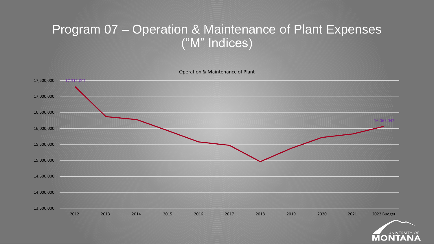#### Program 07 – Operation & Maintenance of Plant Expenses ("M" Indices)

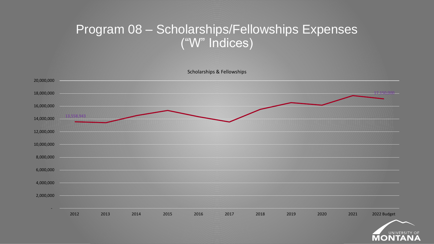#### Program 08 – Scholarships/Fellowships Expenses ("W" Indices)



UNIVERS  $\bullet$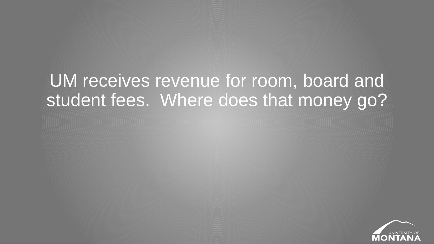# UM receives revenue for room, board and student fees. Where does that money go?

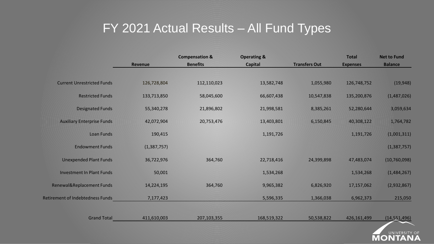### FY 2021 Actual Results – All Fund Types

|                                         |                | <b>Compensation &amp;</b> | <b>Operating &amp;</b> |                      | <b>Total</b>    | <b>Net to Fund</b> |
|-----------------------------------------|----------------|---------------------------|------------------------|----------------------|-----------------|--------------------|
|                                         | <b>Revenue</b> | <b>Benefits</b>           | <b>Capital</b>         | <b>Transfers Out</b> | <b>Expenses</b> | <b>Balance</b>     |
|                                         |                |                           |                        |                      |                 |                    |
| <b>Current Unrestricted Funds</b>       | 126,728,804    | 112,110,023               | 13,582,748             | 1,055,980            | 126,748,752     | (19, 948)          |
| <b>Restricted Funds</b>                 | 133,713,850    | 58,045,600                | 66,607,438             | 10,547,838           | 135,200,876     | (1,487,026)        |
| <b>Designated Funds</b>                 | 55,340,278     | 21,896,802                | 21,998,581             | 8,385,261            | 52,280,644      | 3,059,634          |
| <b>Auxiliary Enterprise Funds</b>       | 42,072,904     | 20,753,476                | 13,403,801             | 6,150,845            | 40,308,122      | 1,764,782          |
| Loan Funds                              | 190,415        |                           | 1,191,726              |                      | 1,191,726       | (1,001,311)        |
| <b>Endowment Funds</b>                  | (1,387,757)    |                           |                        |                      |                 | (1, 387, 757)      |
| <b>Unexpended Plant Funds</b>           | 36,722,976     | 364,760                   | 22,718,416             | 24,399,898           | 47,483,074      | (10, 760, 098)     |
| <b>Investment In Plant Funds</b>        | 50,001         |                           | 1,534,268              |                      | 1,534,268       | (1,484,267)        |
| Renewal&Replacement Funds               | 14,224,195     | 364,760                   | 9,965,382              | 6,826,920            | 17,157,062      | (2,932,867)        |
| <b>Retirement of Indebtedness Funds</b> | 7,177,423      |                           | 5,596,335              | 1,366,038            | 6,962,373       | 215,050            |
|                                         |                |                           |                        |                      |                 |                    |
| <b>Grand Total</b>                      | 411,610,003    | 207,103,355               | 168,519,322            | 50,538,822           | 426,161,499     | (14, 551, 496)     |

UNIVERSITY OF

**MONTA**